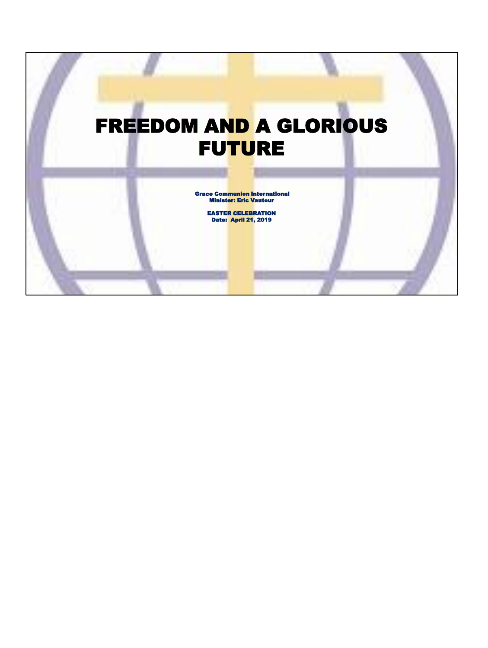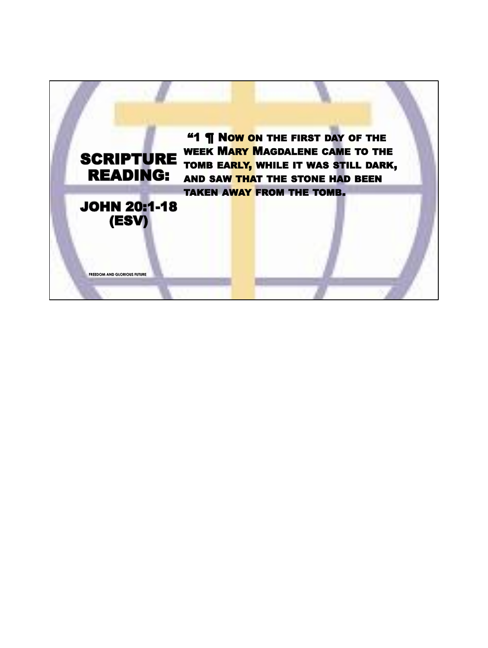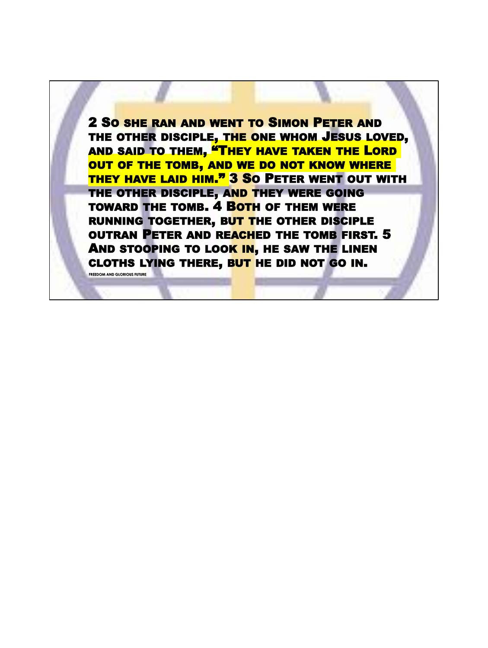2 SO SHE RAN AND WENT TO SIMON PETER AND THE OTHER DISCIPLE, THE ONE WHOM JESUS LOVED, AND SAID TO THEM, **"THEY HAVE TAKEN THE LORD** OUT OF THE TOMB, AND WE DO NOT KNOW WHERE THEY HAVE LAID HIM." 3 SO PETER WENT OUT WITH THE OTHER DISCIPLE, AND THEY WERE GOING TOWARD THE TOMB. 4 BOTH OF THEM WERE RUNNING TOGETHER, BUT THE OTHER DISCIPLE OUTRAN PETER AND REACHED THE TOMB FIRST. 5 AND STOOPING TO LOOK IN, HE SAW THE LINEN CLOTHS LYING THERE, BUT HE DID NOT GO IN.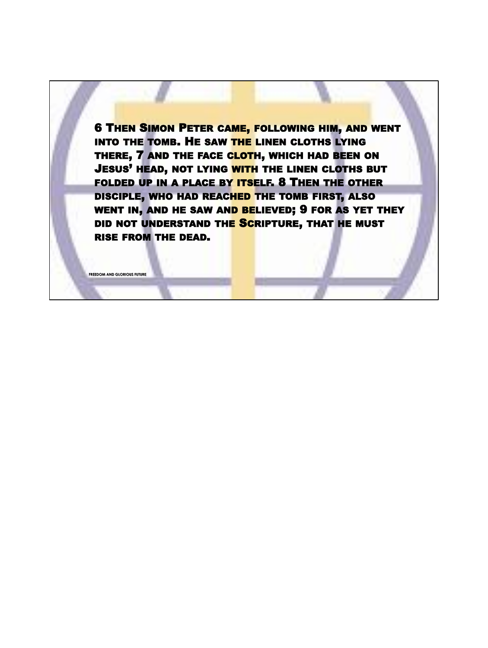6 THEN SIMON PETER CAME, FOLLOWING HIM, AND WENT INTO THE TOMB. HE SAW THE LINEN CLOTHS LYING THERE, 7 AND THE FACE CLOTH, WHICH HAD BEEN ON JESUS<sup>'</sup> HEAD, NOT LYING WITH THE LINEN CLOTHS BUT FOLDED UP IN A PLACE BY ITSELF. 8 THEN THE OTHER DISCIPLE, WHO HAD REACHED THE TOMB FIRST, ALSO WENT IN, AND HE SAW AND BELIEVED; 9 FOR AS YET THEY DID NOT UNDERSTAND THE SCRIPTURE, THAT HE MUST RISE FROM THE DEAD.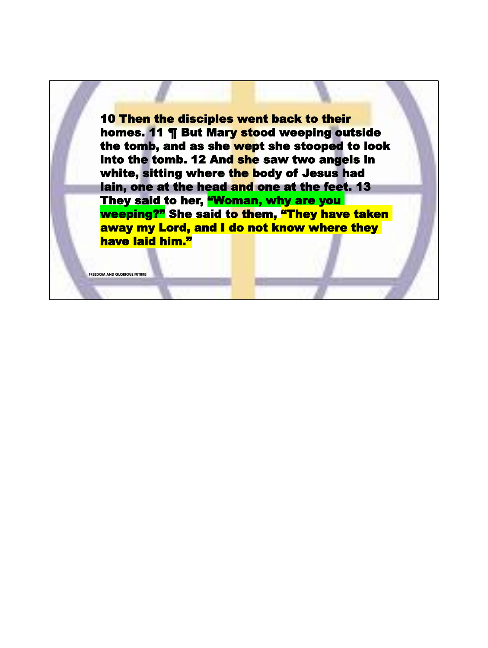10 Then the disciples went back to their homes. 11 ¶ But Mary stood weeping outside the tomb, and as she wept she stooped to look into the tomb. 12 And she saw two angels in white, sitting where the body of Jesus had lain, one at the head and one at the feet. 13 They said to her, **"Woman, why are you** weeping?" She said to them, "They have taken away my Lord, and I do not know where they have laid him."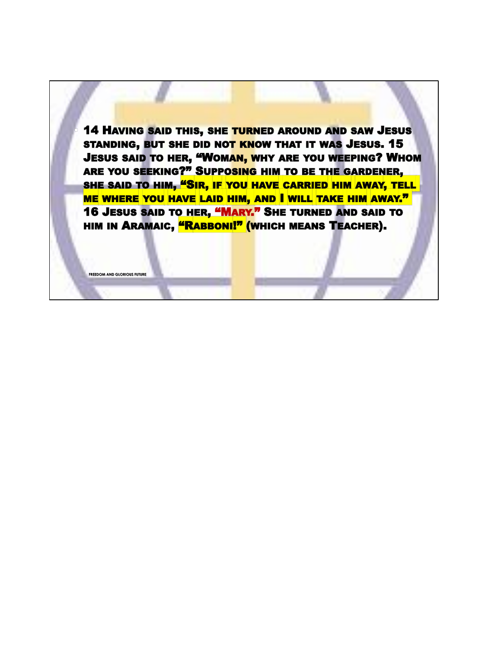**14 HAVING SAID THIS, SHE TURNED AROUND AND SAW JESUS** STANDING, BUT SHE DID NOT KNOW THAT IT WAS JESUS. 15 **JESUS SAID TO HER, "WOMAN, WHY ARE YOU WEEPING? WHOM** ARE YOU SEEKING?" SUPPOSING HIM TO BE THE GARDENER, SHE SAID TO HIM, "SIR, IF YOU HAVE CARRIED HIM AWAY, TELL ME WHERE YOU HAVE LAID HIM, AND I WILL TAKE HIM AWAY." 16 JESUS SAID TO HER, "MARY." SHE TURNED AND SAID TO HIM IN ARAMAIC, **"RABBONI!"** (WHICH MEANS TEACHER).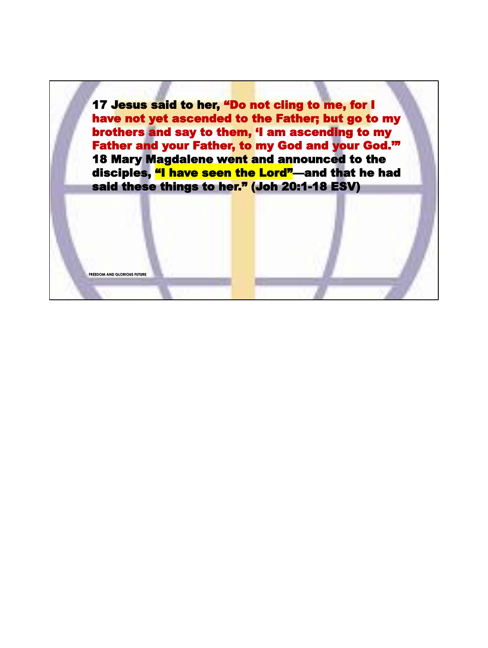17 Jesus said to her, "Do not cling to me, for I have not yet ascended to the Father; but go to my brothers and say to them, 'I am ascending to my Father and your Father, to my God and your God.'" 18 Mary Magdalene went and announced to the disciples, "I have seen the Lord"—and that he had said these things to her." (Joh 20:1-18 ESV)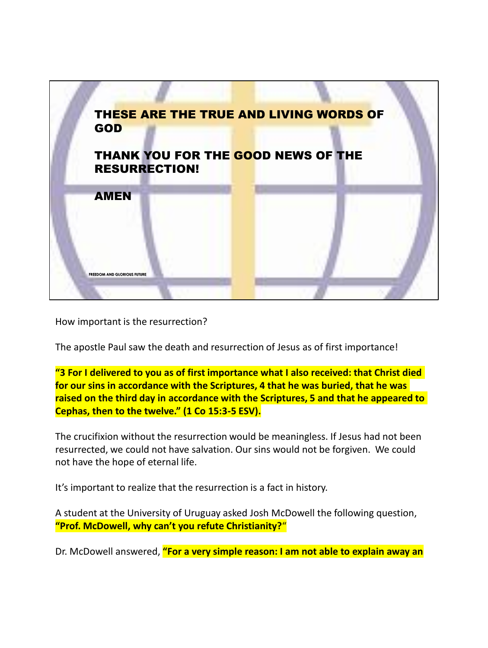

How important is the resurrection?

The apostle Paul saw the death and resurrection of Jesus as of first importance!

**"3 For I delivered to you as of first importance what I also received: that Christ died for our sins in accordance with the Scriptures, 4 that he was buried, that he was raised on the third day in accordance with the Scriptures, 5 and that he appeared to Cephas, then to the twelve." (1 Co 15:3-5 ESV).**

The crucifixion without the resurrection would be meaningless. If Jesus had not been resurrected, we could not have salvation. Our sins would not be forgiven. We could not have the hope of eternal life.

It's important to realize that the resurrection is a fact in history.

A student at the University of Uruguay asked Josh McDowell the following question, **"Prof. McDowell, why can't you refute Christianity?**"

Dr. McDowell answered, **"For a very simple reason: I am not able to explain away an**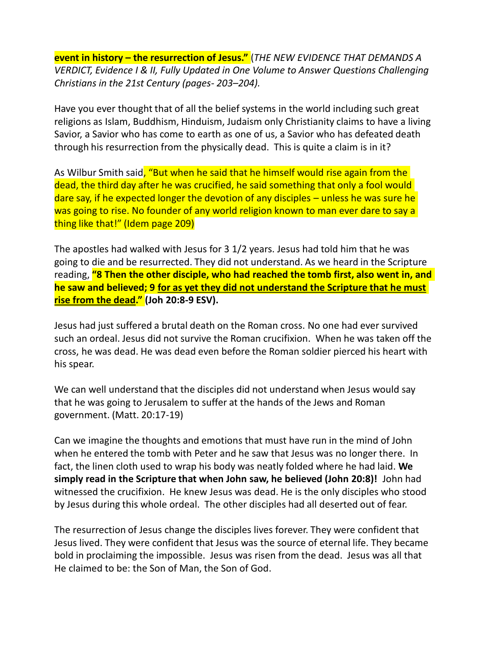**event in history – the resurrection of Jesus."** (*THE NEW EVIDENCE THAT DEMANDS A VERDICT, Evidence I & II, Fully Updated in One Volume to Answer Questions Challenging Christians in the 21st Century (pages- 203–204).*

Have you ever thought that of all the belief systems in the world including such great religions as Islam, Buddhism, Hinduism, Judaism only Christianity claims to have a living Savior, a Savior who has come to earth as one of us, a Savior who has defeated death through his resurrection from the physically dead. This is quite a claim is in it?

As Wilbur Smith said, "But when he said that he himself would rise again from the dead, the third day after he was crucified, he said something that only a fool would dare say, if he expected longer the devotion of any disciples – unless he was sure he was going to rise. No founder of any world religion known to man ever dare to say a thing like that!" (Idem page 209)

The apostles had walked with Jesus for 3 1/2 years. Jesus had told him that he was going to die and be resurrected. They did not understand. As we heard in the Scripture reading, **"8 Then the other disciple, who had reached the tomb first, also went in, and he saw and believed; 9 for as yet they did not understand the Scripture that he must rise from the dead." (Joh 20:8-9 ESV).**

Jesus had just suffered a brutal death on the Roman cross. No one had ever survived such an ordeal. Jesus did not survive the Roman crucifixion. When he was taken off the cross, he was dead. He was dead even before the Roman soldier pierced his heart with his spear.

We can well understand that the disciples did not understand when Jesus would say that he was going to Jerusalem to suffer at the hands of the Jews and Roman government. (Matt. 20:17-19)

Can we imagine the thoughts and emotions that must have run in the mind of John when he entered the tomb with Peter and he saw that Jesus was no longer there. In fact, the linen cloth used to wrap his body was neatly folded where he had laid. **We simply read in the Scripture that when John saw, he believed (John 20:8)!** John had witnessed the crucifixion. He knew Jesus was dead. He is the only disciples who stood by Jesus during this whole ordeal. The other disciples had all deserted out of fear.

The resurrection of Jesus change the disciples lives forever. They were confident that Jesus lived. They were confident that Jesus was the source of eternal life. They became bold in proclaiming the impossible. Jesus was risen from the dead. Jesus was all that He claimed to be: the Son of Man, the Son of God.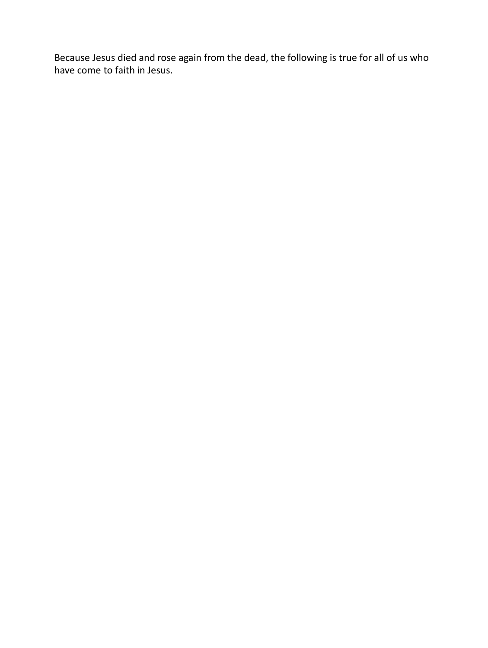Because Jesus died and rose again from the dead, the following is true for all of us who have come to faith in Jesus.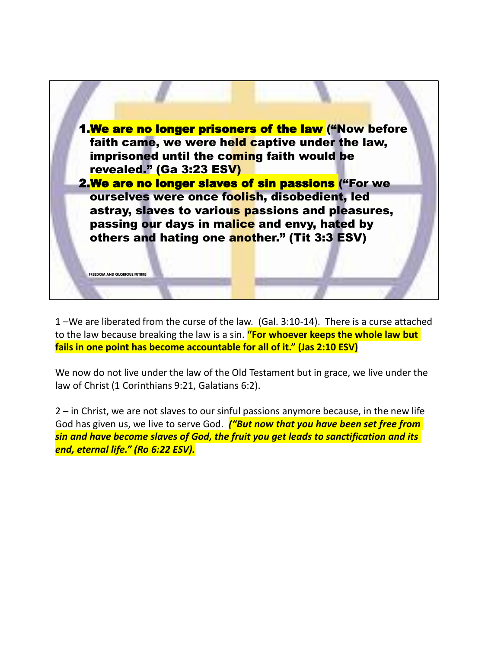

1 –We are liberated from the curse of the law. (Gal. 3:10-14). There is a curse attached to the law because breaking the law is a sin. **"For whoever keeps the whole law but fails in one point has become accountable for all of it." (Jas 2:10 ESV)**

We now do not live under the law of the Old Testament but in grace, we live under the law of Christ (1 Corinthians 9:21, Galatians 6:2).

2 – in Christ, we are not slaves to our sinful passions anymore because, in the new life God has given us, we live to serve God. *("But now that you have been set free from sin and have become slaves of God, the fruit you get leads to sanctification and its end, eternal life." (Ro 6:22 ESV).*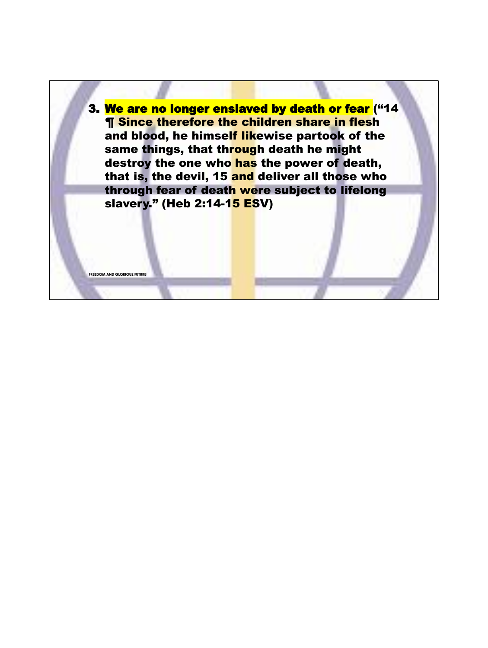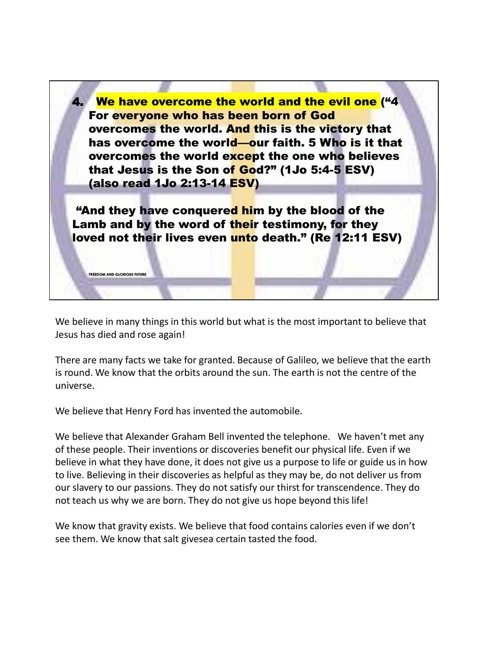

**FREEDOM AND GLORIOUS FUTUR** 

We believe in many things in this world but what is the most important to believe that Jesus has died and rose again!

There are many facts we take for granted. Because of Galileo, we believe that the earth is round. We know that the orbits around the sun. The earth is not the centre of the universe.

We believe that Henry Ford has invented the automobile.

We believe that Alexander Graham Bell invented the telephone. We haven't met any of these people. Their inventions or discoveries benefit our physical life. Even if we believe in what they have done, it does not give us a purpose to life or guide us in how to live. Believing in their discoveries as helpful as they may be, do not deliver us from our slavery to our passions. They do not satisfy our thirst for transcendence. They do not teach us why we are born. They do not give us hope beyond this life!

We know that gravity exists. We believe that food contains calories even if we don't see them. We know that salt givesea certain tasted the food.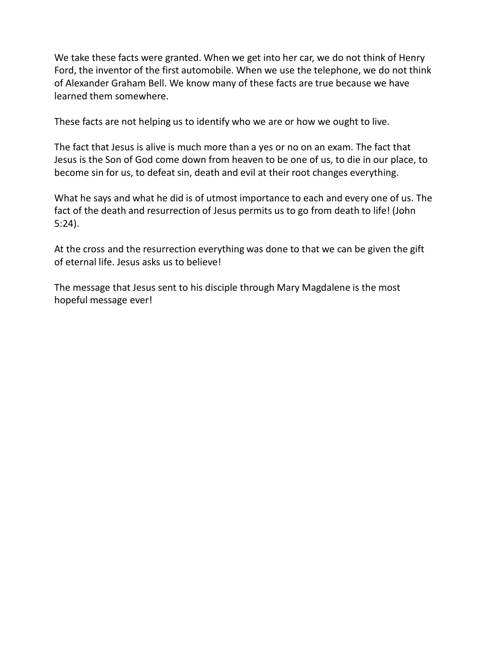We take these facts were granted. When we get into her car, we do not think of Henry Ford, the inventor of the first automobile. When we use the telephone, we do not think of Alexander Graham Bell. We know many of these facts are true because we have learned them somewhere.

These facts are not helping us to identify who we are or how we ought to live.

The fact that Jesus is alive is much more than a yes or no on an exam. The fact that Jesus is the Son of God come down from heaven to be one of us, to die in our place, to become sin for us, to defeat sin, death and evil at their root changes everything.

What he says and what he did is of utmost importance to each and every one of us. The fact of the death and resurrection of Jesus permits us to go from death to life! (John 5:24).

At the cross and the resurrection everything was done to that we can be given the gift of eternal life. Jesus asks us to believe!

The message that Jesus sent to his disciple through Mary Magdalene is the most hopeful message ever!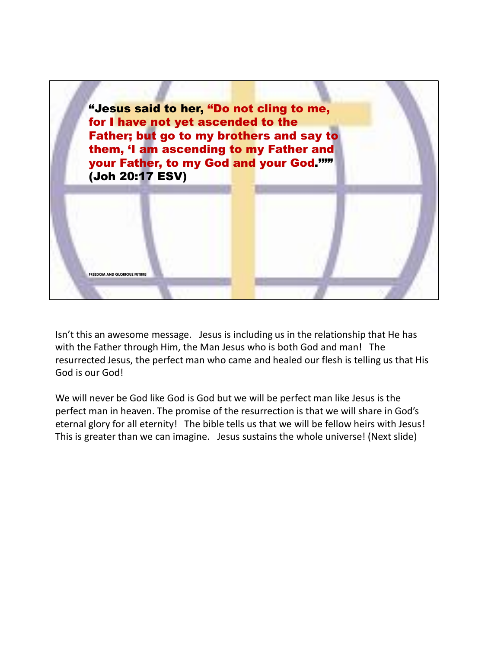

Isn't this an awesome message. Jesus is including us in the relationship that He has with the Father through Him, the Man Jesus who is both God and man! The resurrected Jesus, the perfect man who came and healed our flesh is telling us that His God is our God!

We will never be God like God is God but we will be perfect man like Jesus is the perfect man in heaven. The promise of the resurrection is that we will share in God's eternal glory for all eternity! The bible tells us that we will be fellow heirs with Jesus! This is greater than we can imagine. Jesus sustains the whole universe! (Next slide)